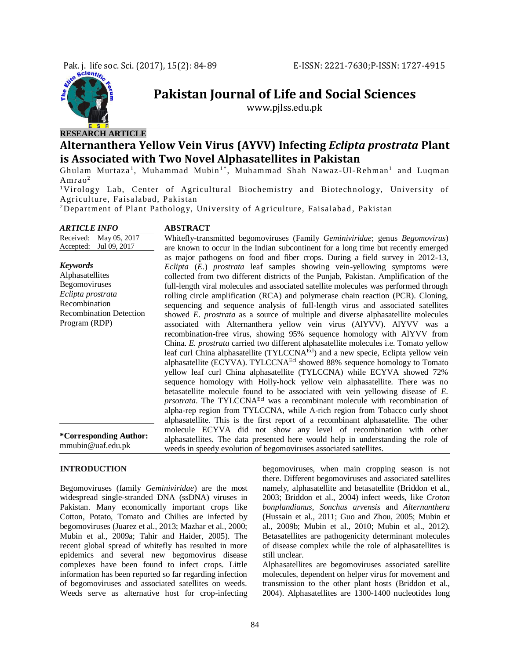

# **RESEARCH ARTICLE**

## **Alternanthera Yellow Vein Virus (AYVV) Infecting** *Eclipta prostrata* **Plant is Associated with Two Novel Alphasatellites in Pakistan**

**Pakistan Journal of Life and Social Sciences** www.pjlss.edu.pk

Ghulam Murtaza<sup>1</sup>, Muhammad Mubin<sup>1\*</sup>, Muhammad Shah Nawaz-Ul-Rehman<sup>1</sup> and Luqman Amrao<sup>2</sup>

<sup>1</sup>Virology Lab, Center of Agricultural Biochemistry and Biotechnology, University of Agriculture, Faisalabad, Pakistan

<sup>2</sup>Department of Plant Pathology, University of Agriculture, Faisalabad, Pakistan

| <i><b>ARTICLE INFO</b></i>     | <b>ABSTRACT</b>                                                                         |
|--------------------------------|-----------------------------------------------------------------------------------------|
| Received:<br>May 05, 2017      | Whitefly-transmitted begomoviruses (Family Geminiviridae; genus Begomovirus)            |
| Accepted: Jul 09, 2017         | are known to occur in the Indian subcontinent for a long time but recently emerged      |
|                                | as major pathogens on food and fiber crops. During a field survey in 2012-13,           |
| <b>Keywords</b>                | Eclipta (E.) prostrata leaf samples showing vein-yellowing symptoms were                |
| Alphasatellites                | collected from two different districts of the Punjab, Pakistan. Amplification of the    |
| Begomoviruses                  | full-length viral molecules and associated satellite molecules was performed through    |
| Eclipta prostrata              | rolling circle amplification (RCA) and polymerase chain reaction (PCR). Cloning,        |
| Recombination                  | sequencing and sequence analysis of full-length virus and associated satellities        |
| <b>Recombination Detection</b> | showed <i>E. prostrata</i> as a source of multiple and diverse alphasatellite molecules |
| Program (RDP)                  | associated with Alternanthera yellow vein virus (AlYVV). AlYVV was a                    |
|                                | recombination-free virus, showing 95% sequence homology with AlYVV from                 |
|                                | China. E. prostrata carried two different alphasatellite molecules i.e. Tomato yellow   |
|                                | leaf curl China alphasatellite (TYLCCNAEcl) and a new specie, Eclipta yellow vein       |
|                                | alphasatellite (ECYVA). TYLCCNA <sup>Ecl</sup> showed 88% sequence homology to Tomato   |
|                                | yellow leaf curl China alphasatellite (TYLCCNA) while ECYVA showed 72%                  |
|                                | sequence homology with Holly-hock yellow vein alphasatellite. There was no              |
|                                | betasatellite molecule found to be associated with vein yellowing disease of $E$ .      |
|                                | prsotrata. The TYLCCNA <sup>Ecl</sup> was a recombinant molecule with recombination of  |
|                                | alpha-rep region from TYLCCNA, while A-rich region from Tobacco curly shoot             |
|                                | alphasatellite. This is the first report of a recombinant alphasatellite. The other     |
| *Corresponding Author:         | molecule ECYVA did not show any level of recombination with other                       |
|                                | alphasatellites. The data presented here would help in understanding the role of        |
| mmubin@uaf.edu.pk              | weeds in speedy evolution of begomoviruses associated satellites.                       |

## **INTRODUCTION**

Begomoviruses (family *Geminiviridae*) are the most widespread single-stranded DNA (ssDNA) viruses in Pakistan. Many economically important crops like Cotton, Potato, Tomato and Chilies are infected by begomoviruses (Juarez et al., 2013; Mazhar et al., 2000; Mubin et al., 2009a; Tahir and Haider, 2005). The recent global spread of whitefly has resulted in more epidemics and several new begomovirus disease complexes have been found to infect crops. Little information has been reported so far regarding infection of begomoviruses and associated satellites on weeds. Weeds serve as alternative host for crop-infecting

begomoviruses, when main cropping season is not there. Different begomoviruses and associated satellites namely, alphasatellite and betasatellite (Briddon et al., 2003; Briddon et al., 2004) infect weeds, like *Croton bonplandianus*, *Sonchus arvensis* and *Alternanthera* (Hussain et al., 2011; Guo and Zhou, 2005; Mubin et al., 2009b; Mubin et al., 2010; Mubin et al., 2012). Betasatellites are pathogenicity determinant molecules of disease complex while the role of alphasatellites is still unclear.

Alphasatellites are begomoviruses associated satellite molecules, dependent on helper virus for movement and transmission to the other plant hosts (Briddon et al., 2004). Alphasatellites are 1300-1400 nucleotides long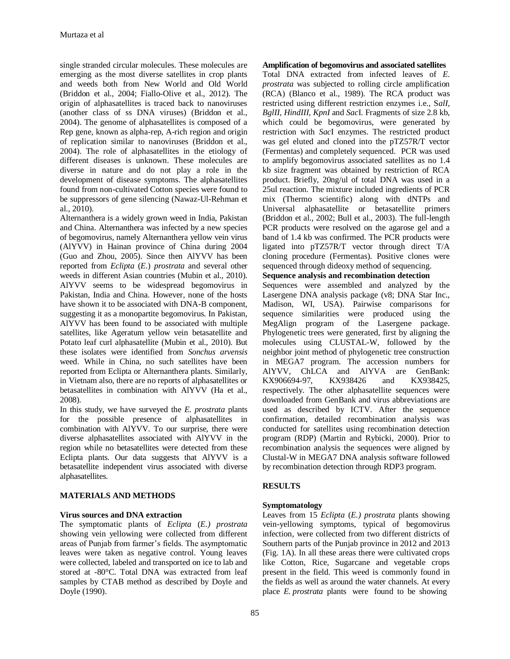single stranded circular molecules. These molecules are emerging as the most diverse satellites in crop plants and weeds both from New World and Old World (Briddon et al., 2004; Fiallo-Olive et al., 2012). The origin of alphasatellites is traced back to nanoviruses (another class of ss DNA viruses) (Briddon et al., 2004). The genome of alphasatellites is composed of a Rep gene, known as alpha-rep, A-rich region and origin of replication similar to nanoviruses (Briddon et al., 2004). The role of alphasatellites in the etiology of different diseases is unknown. These molecules are diverse in nature and do not play a role in the development of disease symptoms. The alphasatellites found from non-cultivated Cotton species were found to be suppressors of gene silencing (Nawaz-Ul-Rehman et al., 2010).

Alternanthera is a widely grown weed in India, Pakistan and China. Alternanthera was infected by a new species of begomovirus, namely Alternanthera yellow vein virus (AlYVV) in Hainan province of China during 2004 (Guo and Zhou, 2005). Since then AlYVV has been reported from *Eclipta* (*E*.) *prostrata* and several other weeds in different Asian countries (Mubin et al., 2010). AlYVV seems to be widespread begomovirus in Pakistan, India and China. However, none of the hosts have shown it to be associated with DNA-B component, suggesting it as a monopartite begomovirus. In Pakistan, AlYVV has been found to be associated with multiple satellites, like Ageratum yellow vein betasatellite and Potato leaf curl alphasatellite (Mubin et al., 2010). But these isolates were identified from *Sonchus arvensis*  weed. While in China, no such satellites have been reported from Eclipta or Alternanthera plants. Similarly, in Vietnam also, there are no reports of alphasatellites or betasatellites in combination with AlYVV (Ha et al., 2008).

In this study, we have surveyed the *E. prostrata* plants for the possible presence of alphasatellites in combination with AlYVV. To our surprise, there were diverse alphasatellites associated with AlYVV in the region while no betasatellites were detected from these Eclipta plants. Our data suggests that AlYVV is a betasatellite independent virus associated with diverse alphasatellites.

## **MATERIALS AND METHODS**

## **Virus sources and DNA extraction**

The symptomatic plants of *Eclipta* (*E.) prostrata* showing vein yellowing were collected from different areas of Punjab from farmer's fields. The asymptomatic leaves were taken as negative control. Young leaves were collected, labeled and transported on ice to lab and stored at -80°C. Total DNA was extracted from leaf samples by CTAB method as described by Doyle and Doyle (1990).

## **Amplification of begomovirus and associated satellites**

Total DNA extracted from infected leaves of *E. prostrata* was subjected to rolling circle amplification (RCA) (Blanco et al., 1989). The RCA product was restricted using different restriction enzymes i.e., S*alI, BglII, HindIII, KpnI* and *Sac*I. Fragments of size 2.8 kb, which could be begomovirus, were generated by restriction with *Sac*I enzymes. The restricted product was gel eluted and cloned into the pTZ57R/T vector (Fermentas) and completely sequenced. PCR was used to amplify begomovirus associated satellites as no 1.4 kb size fragment was obtained by restriction of RCA product. Briefly, 20ng/ul of total DNA was used in a 25ul reaction. The mixture included ingredients of PCR mix (Thermo scientific) along with dNTPs and Universal alphasatellite or betasatellite primers (Briddon et al., 2002; Bull et al., 2003). The full-length PCR products were resolved on the agarose gel and a band of 1.4 kb was confirmed. The PCR products were ligated into pTZ57R/T vector through direct T/A cloning procedure (Fermentas). Positive clones were sequenced through dideoxy method of sequencing.

**Sequence analysis and recombination detection** 

Sequences were assembled and analyzed by the Lasergene DNA analysis package (v8; DNA Star Inc., Madison, WI, USA). Pairwise comparisons for sequence similarities were produced using the MegAlign program of the Lasergene package. Phylogenetic trees were generated, first by aligning the molecules using CLUSTAL-W, followed by the neighbor joint method of phylogenetic tree construction in MEGA7 program. The accession numbers for AlYVV, ChLCA and AlYVA are GenBank: KX906694-97, KX938426 and KX938425, respectively. The other alphasatellite sequences were downloaded from GenBank and virus abbreviations are used as described by ICTV. After the sequence confirmation, detailed recombination analysis was conducted for satellites using recombination detection program (RDP) (Martin and Rybicki, 2000). Prior to recombination analysis the sequences were aligned by Clustal-W in MEGA7 DNA analysis software followed by recombination detection through RDP3 program.

## **RESULTS**

## **Symptomatology**

Leaves from 15 *Eclipta* (*E.) prostrata* plants showing vein-yellowing symptoms, typical of begomovirus infection, were collected from two different districts of Southern parts of the Punjab province in 2012 and 2013 (Fig. 1A). In all these areas there were cultivated crops like Cotton, Rice, Sugarcane and vegetable crops present in the field. This weed is commonly found in the fields as well as around the water channels. At every place *E. prostrata* plants were found to be showing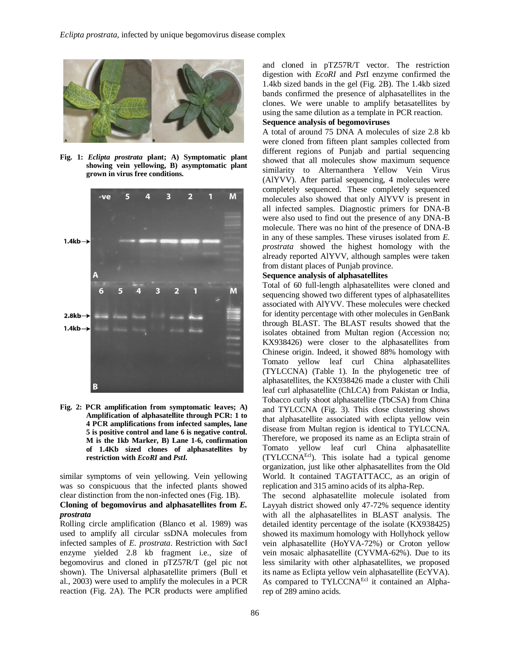

**Fig. 1:** *Eclipta prostrata* **plant; A) Symptomatic plant showing vein yellowing, B) asymptomatic plant grown in virus free conditions.**



**Fig. 2: PCR amplification from symptomatic leaves; A) Amplification of alphasatellite through PCR: 1 to 4 PCR amplifications from infected samples, lane 5 is positive control and lane 6 is negative control. M is the 1kb Marker, B) Lane 1-6, confirmation of 1.4Kb sized clones of alphasatellites by restriction with** *EcoRI* **and** *PstI.*

similar symptoms of vein yellowing. Vein yellowing was so conspicuous that the infected plants showed clear distinction from the non-infected ones (Fig. 1B). **Cloning of begomovirus and alphasatellites from** *E. prostrata*

Rolling circle amplification (Blanco et al. 1989) was used to amplify all circular ssDNA molecules from infected samples of *E. prostrata*. Restriction with *Sac*I enzyme yielded 2.8 kb fragment i.e., size of begomovirus and cloned in pTZ57R/T (gel pic not shown). The Universal alphasatellite primers (Bull et al., 2003) were used to amplify the molecules in a PCR reaction (Fig. 2A). The PCR products were amplified

and cloned in pTZ57R/T vector. The restriction digestion with *EcoRI* and *Pst*I enzyme confirmed the 1.4kb sized bands in the gel (Fig. 2B). The 1.4kb sized bands confirmed the presence of alphasatellites in the clones. We were unable to amplify betasatellites by using the same dilution as a template in PCR reaction.

## **Sequence analysis of begomoviruses**

A total of around 75 DNA A molecules of size 2.8 kb were cloned from fifteen plant samples collected from different regions of Punjab and partial sequencing showed that all molecules show maximum sequence similarity to Alternanthera Yellow Vein Virus (AlYVV). After partial sequencing, 4 molecules were completely sequenced. These completely sequenced molecules also showed that only AlYVV is present in all infected samples. Diagnostic primers for DNA-B were also used to find out the presence of any DNA-B molecule. There was no hint of the presence of DNA-B in any of these samples. These viruses isolated from *E. prostrata* showed the highest homology with the already reported AlYVV, although samples were taken from distant places of Punjab province.

#### **Sequence analysis of alphasatellites**

Total of 60 full-length alphasatellites were cloned and sequencing showed two different types of alphasatellites associated with AlYVV. These molecules were checked for identity percentage with other molecules in GenBank through BLAST. The BLAST results showed that the isolates obtained from Multan region (Accession no; KX938426) were closer to the alphasatellites from Chinese origin. Indeed, it showed 88% homology with Tomato yellow leaf curl China alphasatellites (TYLCCNA) (Table 1). In the phylogenetic tree of alphasatellites, the KX938426 made a cluster with Chili leaf curl alphasatellite (ChLCA) from Pakistan or India, Tobacco curly shoot alphasatellite (TbCSA) from China and TYLCCNA (Fig. 3). This close clustering shows that alphasatellite associated with eclipta yellow vein disease from Multan region is identical to TYLCCNA. Therefore, we proposed its name as an Eclipta strain of Tomato yellow leaf curl China alphasatellite (TYLCCNAEcl). This isolate had a typical genome organization, just like other alphasatellites from the Old World. It contained TAGTATTACC, as an origin of replication and 315 amino acids of its alpha-Rep.

The second alphasatellite molecule isolated from Layyah district showed only 47-72% sequence identity with all the alphasatellites in BLAST analysis. The detailed identity percentage of the isolate (KX938425) showed its maximum homology with Hollyhock yellow vein alphasatellite (HoYVA-72%) or Croton yellow vein mosaic alphasatellite (CYVMA-62%). Due to its less similarity with other alphasatellites, we proposed its name as Eclipta yellow vein alphasatellite (EcYVA). As compared to TYLCCNA<sup>Ecl</sup> it contained an Alpharep of 289 amino acids.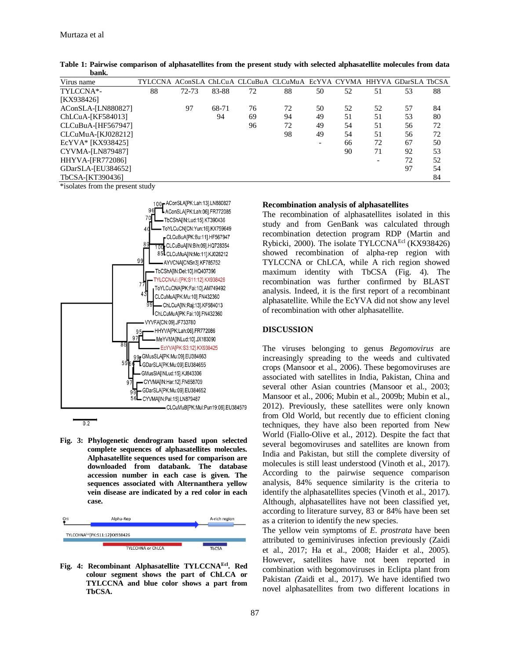| Virus name              |    |           |       |    | TYLCCNA AConSLA ChLCuA CLCuBuA CLCuMuA EcYVA CYVMA HHYVA GDarSLA TbCSA |    |    |    |    |    |
|-------------------------|----|-----------|-------|----|------------------------------------------------------------------------|----|----|----|----|----|
| TYLCCNA*-               | 88 | $72 - 73$ | 83-88 | 72 | 88                                                                     | 50 | 52 | 51 | 53 | 88 |
| [KX938426]              |    |           |       |    |                                                                        |    |    |    |    |    |
| AConSLA-[LN880827]      |    | 97        | 68-71 | 76 | 72                                                                     | 50 | 52 | 52 | 57 | 84 |
| ChLCuA-[KF584013]       |    |           | 94    | 69 | 94                                                                     | 49 | 51 | 51 | 53 | 80 |
| CLCuBuA-[HF567947]      |    |           |       | 96 | 72                                                                     | 49 | 54 | 51 | 56 | 72 |
| CLCuMuA-[KJ028212]      |    |           |       |    | 98                                                                     | 49 | 54 | 51 | 56 | 72 |
| EcYVA* [KX938425]       |    |           |       |    |                                                                        |    | 66 | 72 | 67 | 50 |
| CYVMA-[LN879487]        |    |           |       |    |                                                                        |    | 90 | 71 | 92 | 53 |
| <b>HHYVA-[FR772086]</b> |    |           |       |    |                                                                        |    |    |    | 72 | 52 |
| GDarSLA-[EU384652]      |    |           |       |    |                                                                        |    |    |    | 97 | 54 |
| TbCSA-[KT390436]        |    |           |       |    |                                                                        |    |    |    |    | 84 |

**Table 1: Pairwise comparison of alphasatellites from the present study with selected alphasatellite molecules from data bank.**

\*isolates from the present study



**Fig. 3: Phylogenetic dendrogram based upon selected complete sequences of alphasatellites molecules. Alphasatellite sequences used for comparison are downloaded from databank. The database accession number in each case is given. The sequences associated with Alternanthera yellow vein disease are indicated by a red color in each case.** 

| Ori                           | Alpha-Rep         | A-rich region |  |  |  |  |  |  |  |
|-------------------------------|-------------------|---------------|--|--|--|--|--|--|--|
| TYLCCHNAEd[PK:S11:12]KX938426 |                   |               |  |  |  |  |  |  |  |
|                               |                   |               |  |  |  |  |  |  |  |
|                               | TYLCCHNA or ChLCA | <b>TbCSA</b>  |  |  |  |  |  |  |  |

**Fig. 4: Recombinant Alphasatellite TYLCCNAEcl. Red colour segment shows the part of ChLCA or TYLCCNA and blue color shows a part from TbCSA.**

## **Recombination analysis of alphasatellites**

The recombination of alphasatellites isolated in this study and from GenBank was calculated through recombination detection program RDP (Martin and Rybicki, 2000). The isolate TYLCCNAEcl (KX938426) showed recombination of alpha-rep region with TYLCCNA or ChLCA, while A rich region showed maximum identity with TbCSA (Fig. 4). The recombination was further confirmed by BLAST analysis. Indeed, it is the first report of a recombinant alphasatellite. While the EcYVA did not show any level of recombination with other alphasatellite.

### **DISCUSSION**

The viruses belonging to genus *Begomovirus* are increasingly spreading to the weeds and cultivated crops (Mansoor et al., 2006). These begomoviruses are associated with satellites in India, Pakistan, China and several other Asian countries (Mansoor et al., 2003; Mansoor et al., 2006; Mubin et al., 2009b; Mubin et al., 2012). Previously, these satellites were only known from Old World, but recently due to efficient cloning techniques, they have also been reported from New World (Fiallo-Olive et al., 2012). Despite the fact that several begomoviruses and satellites are known from India and Pakistan, but still the complete diversity of molecules is still least understood (Vinoth et al., 2017). According to the pairwise sequence comparison analysis, 84% sequence similarity is the criteria to identify the alphasatellites species (Vinoth et al., 2017). Although, alphasatellites have not been classified yet, according to literature survey, 83 or 84% have been set as a criterion to identify the new species.

The yellow vein symptoms of *E. prostrata* have been attributed to geminiviruses infection previously (Zaidi et al., 2017; Ha et al., 2008; Haider et al., 2005). However, satellites have not been reported in combination with begomoviruses in Eclipta plant from Pakistan *(*Zaidi et al., 2017). We have identified two novel alphasatellites from two different locations in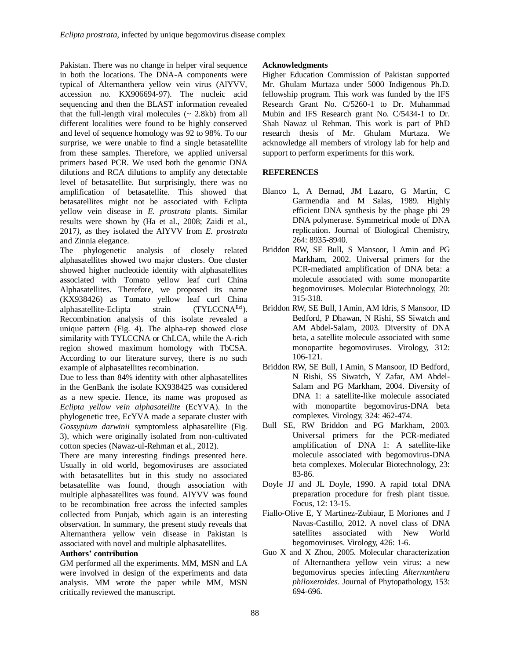Pakistan. There was no change in helper viral sequence in both the locations. The DNA-A components were typical of Alternanthera yellow vein virus (AlYVV, accession no. KX906694-97). The nucleic acid sequencing and then the BLAST information revealed that the full-length viral molecules  $($   $\sim$  2.8kb) from all different localities were found to be highly conserved and level of sequence homology was 92 to 98%. To our surprise, we were unable to find a single betasatellite from these samples. Therefore, we applied universal primers based PCR. We used both the genomic DNA dilutions and RCA dilutions to amplify any detectable level of betasatellite. But surprisingly, there was no amplification of betasatellite. This showed that betasatellites might not be associated with Eclipta yellow vein disease in *E. prostrata* plants. Similar results were shown by (Ha et al., 2008; Zaidi et al., 2017*),* as they isolated the AlYVV from *E. prostrata* and Zinnia elegance.

The phylogenetic analysis of closely related alphasatellites showed two major clusters. One cluster showed higher nucleotide identity with alphasatellites associated with Tomato yellow leaf curl China Alphasatellites. Therefore, we proposed its name (KX938426) as Tomato yellow leaf curl China alphasatellite-Eclipta strain (TYLCCNA<sup>Ecl</sup>). Recombination analysis of this isolate revealed a unique pattern (Fig. 4). The alpha-rep showed close similarity with TYLCCNA or ChLCA, while the A-rich region showed maximum homology with TbCSA. According to our literature survey, there is no such example of alphasatellites recombination.

Due to less than 84% identity with other alphasatellites in the GenBank the isolate KX938425 was considered as a new specie. Hence, its name was proposed as *Eclipta yellow vein alphasatellite* (EcYVA). In the phylogenetic tree, EcYVA made a separate cluster with *Gossypium darwinii* symptomless alphasatellite (Fig. 3), which were originally isolated from non-cultivated cotton species (Nawaz-ul-Rehman et al., 2012).

There are many interesting findings presented here. Usually in old world, begomoviruses are associated with betasatellites but in this study no associated betasatellite was found, though association with multiple alphasatellites was found. AlYVV was found to be recombination free across the infected samples collected from Punjab, which again is an interesting observation. In summary, the present study reveals that Alternanthera yellow vein disease in Pakistan is associated with novel and multiple alphasatellites.

## **Authors' contribution**

GM performed all the experiments. MM, MSN and LA were involved in design of the experiments and data analysis. MM wrote the paper while MM, MSN critically reviewed the manuscript.

## **Acknowledgments**

Higher Education Commission of Pakistan supported Mr. Ghulam Murtaza under 5000 Indigenous Ph.D. fellowship program. This work was funded by the IFS Research Grant No. C/5260-1 to Dr. Muhammad Mubin and IFS Research grant No. C/5434-1 to Dr. Shah Nawaz ul Rehman. This work is part of PhD research thesis of Mr. Ghulam Murtaza. We acknowledge all members of virology lab for help and support to perform experiments for this work.

## **REFERENCES**

- Blanco L, A Bernad, JM Lazaro, G Martin, C Garmendia and M Salas, 1989. Highly efficient DNA synthesis by the phage phi 29 DNA polymerase. Symmetrical mode of DNA replication. Journal of Biological Chemistry, 264: 8935-8940.
- Briddon RW, SE Bull, S Mansoor, I Amin and PG Markham, 2002. Universal primers for the PCR-mediated amplification of DNA beta: a molecule associated with some monopartite begomoviruses. Molecular Biotechnology, 20: 315-318.
- Briddon RW, SE Bull, I Amin, AM Idris, S Mansoor, ID Bedford, P Dhawan, N Rishi, SS Siwatch and AM Abdel-Salam, 2003. Diversity of DNA beta, a satellite molecule associated with some monopartite begomoviruses. Virology, 312: 106-121.
- Briddon RW, SE Bull, I Amin, S Mansoor, ID Bedford, N Rishi, SS Siwatch, Y Zafar, AM Abdel-Salam and PG Markham, 2004. Diversity of DNA 1: a satellite-like molecule associated with monopartite begomovirus-DNA beta complexes. Virology, 324: 462-474.
- Bull SE, RW Briddon and PG Markham, 2003. Universal primers for the PCR-mediated amplification of DNA 1: A satellite-like molecule associated with begomovirus-DNA beta complexes. Molecular Biotechnology, 23: 83-86.
- Doyle JJ and JL Doyle, 1990. A rapid total DNA preparation procedure for fresh plant tissue. Focus, 12: 13-15.
- Fiallo-Olive E, Y Martinez-Zubiaur, E Moriones and J Navas-Castillo, 2012. A novel class of DNA satellites associated with New World begomoviruses. Virology, 426: 1-6.
- Guo X and X Zhou, 2005. Molecular characterization of Alternanthera yellow vein virus: a new begomovirus species infecting *Alternanthera philoxeroides*. Journal of Phytopathology, 153: 694-696.